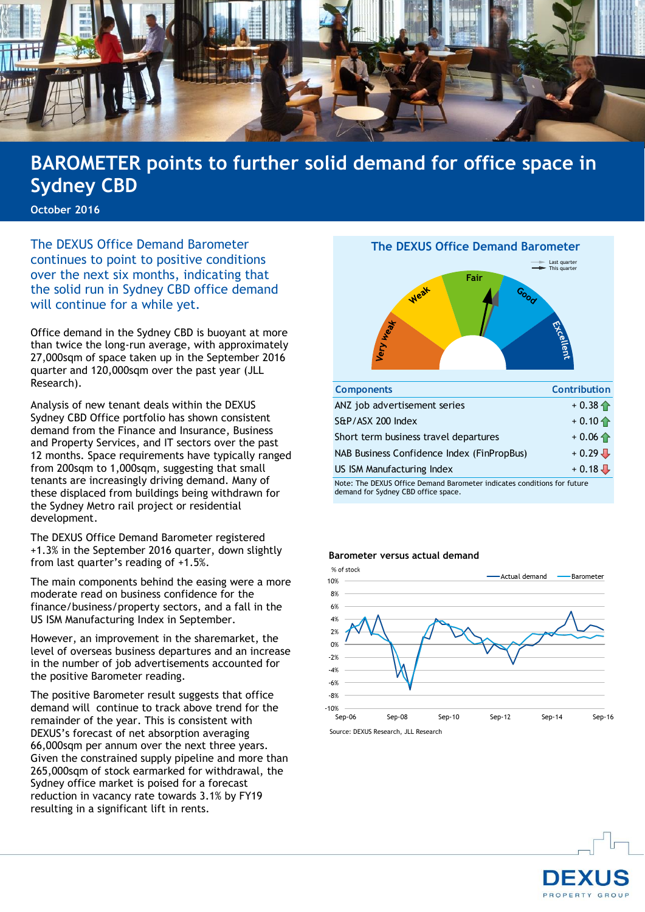

## **BAROMETER points to further solid demand for office space in Sydney CBD**

**October 2016**

The DEXUS Office Demand Barometer continues to point to positive conditions over the next six months, indicating that the solid run in Sydney CBD office demand will continue for a while yet.

Office demand in the Sydney CBD is buoyant at more than twice the long-run average, with approximately 27,000sqm of space taken up in the September 2016 quarter and 120,000sqm over the past year (JLL Research).

Analysis of new tenant deals within the DEXUS Sydney CBD Office portfolio has shown consistent demand from the Finance and Insurance, Business and Property Services, and IT sectors over the past 12 months. Space requirements have typically ranged from 200sqm to 1,000sqm, suggesting that small tenants are increasingly driving demand. Many of these displaced from buildings being withdrawn for the Sydney Metro rail project or residential development.

The DEXUS Office Demand Barometer registered +1.3% in the September 2016 quarter, down slightly from last quarter's reading of +1.5%.

The main components behind the easing were a more moderate read on business confidence for the finance/business/property sectors, and a fall in the US ISM Manufacturing Index in September.

However, an improvement in the sharemarket, the level of overseas business departures and an increase in the number of job advertisements accounted for the positive Barometer reading.

The positive Barometer result suggests that office demand will continue to track above trend for the remainder of the year. This is consistent with DEXUS's forecast of net absorption averaging 66,000sqm per annum over the next three years. Given the constrained supply pipeline and more than 265,000sqm of stock earmarked for withdrawal, the Sydney office market is poised for a forecast reduction in vacancy rate towards 3.1% by FY19 resulting in a significant lift in rents.



| <b>Components</b>                                                        | <b>Contribution</b> |
|--------------------------------------------------------------------------|---------------------|
| ANZ job advertisement series                                             | $+0.38 +$           |
| S&P/ASX 200 Index                                                        | $+0.10 +$           |
| Short term business travel departures                                    | $+0.06 +$           |
| NAB Business Confidence Index (FinPropBus)                               | $+0.29 -$           |
| US ISM Manufacturing Index                                               | $+0.18 -$           |
| Note: The DEVIIC Office Demand Devemptor indicates conditions for future |                     |

Note: The DEXUS Office Demand Barometer indicates conditions for future demand for Sydney CBD office space.

## **Barometer versus actual demand**



Source: DEXUS Research, JLL Research